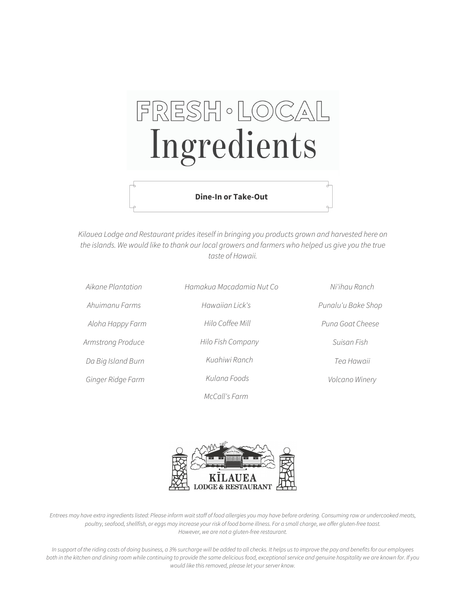# FRESH · LOCAL Ingredients

#### **Dine-In or Take-Out**

Kilauea Lodge and Restaurant prides iteself in bringing you products grown and harvested here on the islands. We would like to thank our local growers and farmers who helped us give you the true taste of Hawaii.

| Aikane Plantation  | Hamakua Macadamia Nut Co | Ni'ihau Ranch      |
|--------------------|--------------------------|--------------------|
| Ahuimanu Farms     | Hawaiian Lick's          | Punalu'u Bake Shop |
| Aloha Happy Farm   | Hilo Coffee Mill         | Puna Goat Cheese   |
| Armstrong Produce  | Hilo Fish Company        | Suisan Fish        |
| Da Big Island Burn | Kuahiwi Ranch            | Tea Hawaii         |
| Ginger Ridge Farm  | Kulana Foods             | Volcano Winery     |
|                    | McCall's Farm            |                    |



Entrees may have extra ingredientslisted: Please inform waitstaff of food allergies you may have before ordering. Consuming raw or undercooked meats, poultry, seafood, shellfish, or eggs may increase your risk of food borne illness. For a small charge, we offer gluten-free toast. However, we are not a gluten-free restaurant.

In support of the riding costs of doing business, a 3% surcharge will be added to all checks. It helps us to improve the pay and benefits for our employees both in the kitchen and dining room while continuing to provide the same delicious food, exceptional service and genuine hospitality we are known for. If you would like this removed, please let your server know.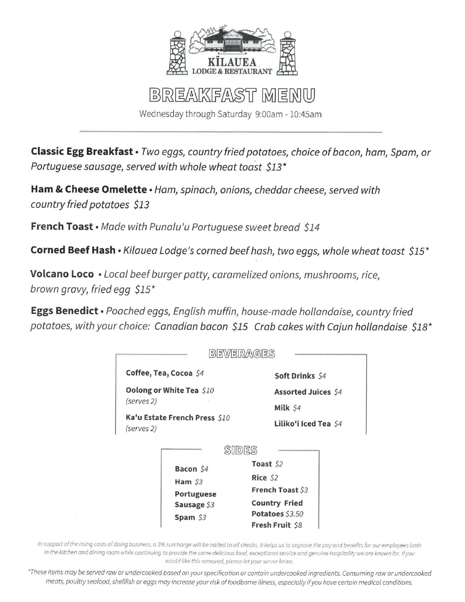

## BREAKFAST MENU

Wednesday through Saturday 9:00am - 10:45am

**Classic Egg Breakfast** • Two eggs, country fried potatoes, choice of bacon, ham, Spam, or Portuguese sausage, served with whole wheat toast \$13\*

Ham & Cheese Omelette · Ham, spinach, onions, cheddar cheese, served with country fried potatoes \$13

French Toast · Made with Punalu'u Portuguese sweet bread \$14

Corned Beef Hash · Kilauea Lodge's corned beef hash, two eggs, whole wheat toast \$15\*

Volcano Loco . Local beef burger patty, caramelized onions, mushrooms, rice, brown gravy, fried egg \$15\*

Eggs Benedict · Poached eggs, English muffin, house-made hollandaise, country fried potatoes, with your choice: Canadian bacon \$15 Crab cakes with Cajun hollandaise \$18\*



In support of the rising costs of doing business, a 3% surcharge will be added to all checks. It helps us to improve the pay and benefits for our employees both in the kitchen and dining room while continuing to provide the same delicious food, exceptional service and genuine hospitality we are known for. If you would like this removed, please let your server know.

\*These items may be served raw or undercooked based on your specification or contain undercooked ingredients. Consuming raw or undercooked meats, poultry seafood, shellfish or eggs may increase your risk of foodborne illness, especially if you have certain medical conditions.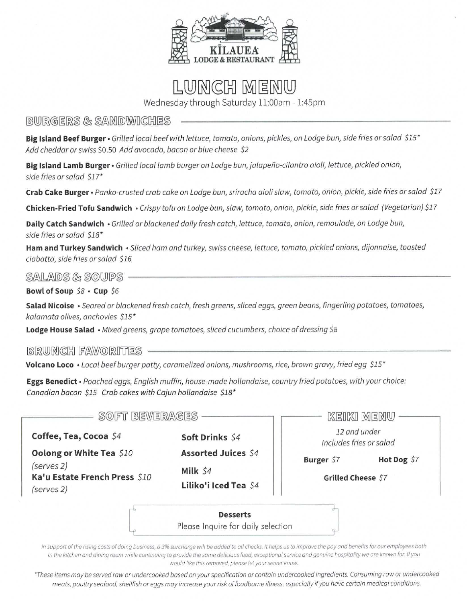

## LUNCH MENU

Wednesday through Saturday 11:00am - 1:45pm

#### BURGERS & SAMDWICHES

Big Island Beef Burger · Grilled local beef with lettuce, tomato, onions, pickles, on Lodge bun, side fries or salad \$15\* Add cheddar or swiss \$0.50 Add avocado, bacon or blue cheese \$2

Big Island Lamb Burger · Grilled local lamb burger on Lodge bun, jalapeño-cilantro aioli, lettuce, pickled onion, side fries or salad \$17\*

Crab Cake Burger · Panko-crusted crab cake on Lodge bun, sriracha aioli slaw, tomato, onion, pickle, side fries or salad \$17

Chicken-Fried Tofu Sandwich · Crispy tofu on Lodge bun, slaw, tomato, onion, pickle, side fries or salad (Vegetarian) \$17

Daily Catch Sandwich · Grilled or blackened daily fresh catch, lettuce, tomato, onion, remoulade, on Lodge bun, side fries or salad \$18\*

Ham and Turkey Sandwich · Sliced ham and turkey, swiss cheese, lettuce, tomato, pickled onions, dijonnaise, toasted ciabatta, side fries or salad \$16

SALADS & SOUPS

Bowl of Soup \$8 . Cup \$6

Salad Nicoise · Seared or blackened fresh catch, fresh greens, sliced eggs, green beans, fingerling potatoes, tomatoes, kalamata olives, anchovies \$15\*

Lodge House Salad • Mixed greens, grape tomatoes, sliced cucumbers, choice of dressing \$8

**BRUNCH FAWORITES -**

Volcano Loco · Local beef burger patty, caramelized onions, mushrooms, rice, brown gravy, fried egg \$15\*

Eggs Benedict · Poached eggs, English muffin, house-made hollandaise, country fried potatoes, with your choice: Canadian bacon \$15 Crab cakes with Cajun hollandaise \$18\*

| SOFT BEVERAGES                                                                        |                                                                 |                                         | KEIKI MENU  |
|---------------------------------------------------------------------------------------|-----------------------------------------------------------------|-----------------------------------------|-------------|
| Coffee, Tea, Cocoa \$4                                                                | Soft Drinks \$4                                                 | 12 and under<br>Includes fries or salad |             |
| Oolong or White Tea \$10<br>(serves 2)<br>Ka'u Estate French Press \$10<br>(serves 2) | <b>Assorted Juices \$4</b><br>Milk \$4<br>Liliko'i Iced Tea \$4 | Burger \$7<br>Grilled Cheese \$7        | Hot Dog \$7 |
|                                                                                       | <b>Desserts</b><br>Please Inquire for daily selection           |                                         |             |

In support of the rising costs of doing business, a 3% surcharge will be added to all checks. It helps us to improve the pay and benefits for our employees both in the kitchen and dining room while continuing to provide the same delicious food, exceptional service and genuine hospitality we are known for. If you would like this removed, please let your server know.

\*These items may be served raw or undercooked based on your specification or contain undercooked ingredients. Consuming raw or undercooked meats, poultry seafood, shellfish or eggs may increase your risk of foodborne illness, especially if you have certain medical conditions.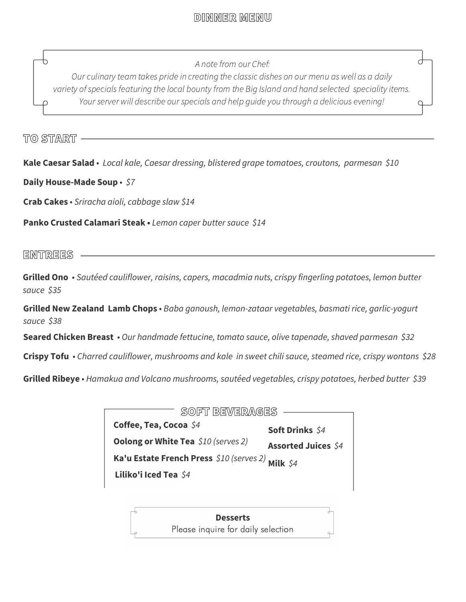## DINNER MENU

A note from our Chef:

Our culinary team takes pride in creating the classic dishes on our menu as well as a daily variety of specials featuring the local bounty from the Big Island and hand selected speciality items. Your server will describe our specials and help guide you through a delicious evening!

TO START

**Kale Caesar Salad** • *Local kale, Caesar dressing, blistered grape tomatoes, croutons, parmesan \$10*

**Daily House-Made Soup** • *\$7*

**Crab Cakes** • *Sriracha aioli, cabbage slaw \$14*

**Panko Crusted Calamari Steak •** *Lemon caper butter sauce \$14*

ENTREES

**Grilled Ono** • *Sautéed cauliflower, raisins, capers, macadmia nuts, crispy fingerling potatoes, lemon butter sauce \$35*

**Grilled New Zealand Lamb Chops** • *Baba ganoush, lemon-zataar vegetables, basmati rice, garlic-yogurt sauce \$38*

**Seared Chicken Breast** • *Our handmade fettucine, tomato sauce, olive tapenade, shaved parmesan \$32*

**Crispy Tofu** • *Charred cauliflower, mushrooms and kale in sweet chili sauce, steamed rice, crispy wontons \$28*

**Grilled Ribeye** • *Hamakua and Volcano mushrooms, sautéed vegetables, crispy potatoes, herbed butter \$39*

| SOFT BEWERAGES<br>Soft Drinks \$4                   |                            |  |  |  |  |
|-----------------------------------------------------|----------------------------|--|--|--|--|
| Coffee, Tea, Cocoa \$4                              |                            |  |  |  |  |
| <b>Oolong or White Tea</b> \$10 (serves 2)          | <b>Assorted Juices \$4</b> |  |  |  |  |
| Ka'u Estate French Press $$10$ (serves 2) Milk $$4$ |                            |  |  |  |  |
| Liliko'i Iced Tea \$4                               |                            |  |  |  |  |

**Desserts** Please inquire for daily selection